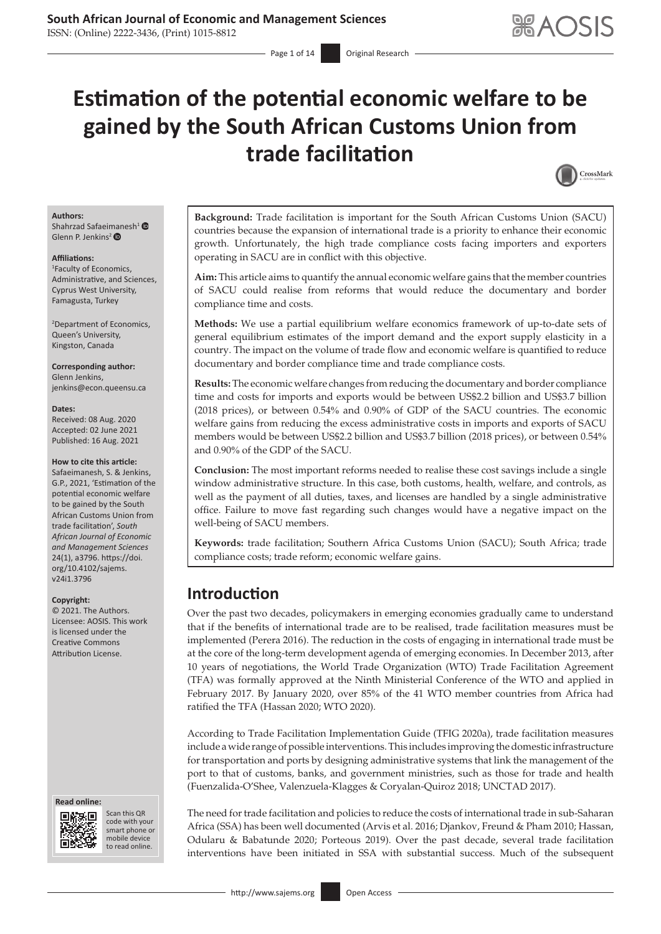ISSN: (Online) 2222-3436, (Print) 1015-8812

# **Estimation of the potential economic welfare to be gained by the South African Customs Union from trade facilitation**



### **Authors:**

Shahrzad Safaei[man](https://orcid.org/0000-0003-4416-0164)esh<sup>1</sup> <sup>®</sup> Glenn P. Jenkins<sup>2</sup>

#### **Affiliations:**

1 Faculty of Economics, Administrative, and Sciences, Cyprus West University, Famagusta, Turkey

2 Department of Economics, Queen's University, Kingston, Canada

**Corresponding author:** Glenn Jenkins, [jenkins@econ.queensu.ca](mailto:jenkins@econ.queensu.ca)

#### **Dates:**

Received: 08 Aug. 2020 Accepted: 02 June 2021 Published: 16 Aug. 2021

#### **How to cite this article:**

Safaeimanesh, S. & Jenkins, G.P., 2021, 'Estimation of the potential economic welfare to be gained by the South African Customs Union from trade facilitation', *South African Journal of Economic and Management Sciences* 24(1), a3796. [https://doi.](https://doi.org/10.4102/sajems.v24i1.3796) [org/10.4102/sajems.](https://doi.org/10.4102/sajems.v24i1.3796) [v24i1.3796](https://doi.org/10.4102/sajems.v24i1.3796)

#### **Copyright:**

© 2021. The Authors. Licensee: AOSIS. This work is licensed under the Creative Commons Attribution License.

#### **Read online: Read online:**



Scan this QR Scan this QR code with your smart phone or code with your smart phone or mobile device mobile device to read online. to read online.

**Background:** Trade facilitation is important for the South African Customs Union (SACU) countries because the expansion of international trade is a priority to enhance their economic growth. Unfortunately, the high trade compliance costs facing importers and exporters operating in SACU are in conflict with this objective.

**Aim:** This article aims to quantify the annual economic welfare gains that the member countries of SACU could realise from reforms that would reduce the documentary and border compliance time and costs.

**Methods:** We use a partial equilibrium welfare economics framework of up-to-date sets of general equilibrium estimates of the import demand and the export supply elasticity in a country. The impact on the volume of trade flow and economic welfare is quantified to reduce documentary and border compliance time and trade compliance costs.

**Results:** The economic welfare changes from reducing the documentary and border compliance time and costs for imports and exports would be between US\$2.2 billion and US\$3.7 billion (2018 prices), or between 0.54% and 0.90% of GDP of the SACU countries. The economic welfare gains from reducing the excess administrative costs in imports and exports of SACU members would be between US\$2.2 billion and US\$3.7 billion (2018 prices), or between 0.54% and 0.90% of the GDP of the SACU.

**Conclusion:** The most important reforms needed to realise these cost savings include a single window administrative structure. In this case, both customs, health, welfare, and controls, as well as the payment of all duties, taxes, and licenses are handled by a single administrative office. Failure to move fast regarding such changes would have a negative impact on the well-being of SACU members.

**Keywords:** trade facilitation; Southern Africa Customs Union (SACU); South Africa; trade compliance costs; trade reform; economic welfare gains.

# **Introduction**

Over the past two decades, policymakers in emerging economies gradually came to understand that if the benefits of international trade are to be realised, trade facilitation measures must be implemented (Perera 2016). The reduction in the costs of engaging in international trade must be at the core of the long-term development agenda of emerging economies. In December 2013, after 10 years of negotiations, the World Trade Organization (WTO) Trade Facilitation Agreement (TFA) was formally approved at the Ninth Ministerial Conference of the WTO and applied in February 2017. By January 2020, over 85% of the 41 WTO member countries from Africa had ratified the TFA (Hassan 2020; WTO 2020).

According to Trade Facilitation Implementation Guide (TFIG 2020a), trade facilitation measures include a wide range of possible interventions. This includes improving the domestic infrastructure for transportation and ports by designing administrative systems that link the management of the port to that of customs, banks, and government ministries, such as those for trade and health (Fuenzalida-O'Shee, Valenzuela-Klagges & Coryalan-Quiroz 2018; UNCTAD 2017).

The need for trade facilitation and policies to reduce the costs of international trade in sub-Saharan Africa (SSA) has been well documented (Arvis et al. 2016; Djankov, Freund & Pham 2010; Hassan, Odularu & Babatunde 2020; Porteous 2019). Over the past decade, several trade facilitation interventions have been initiated in SSA with substantial success. Much of the subsequent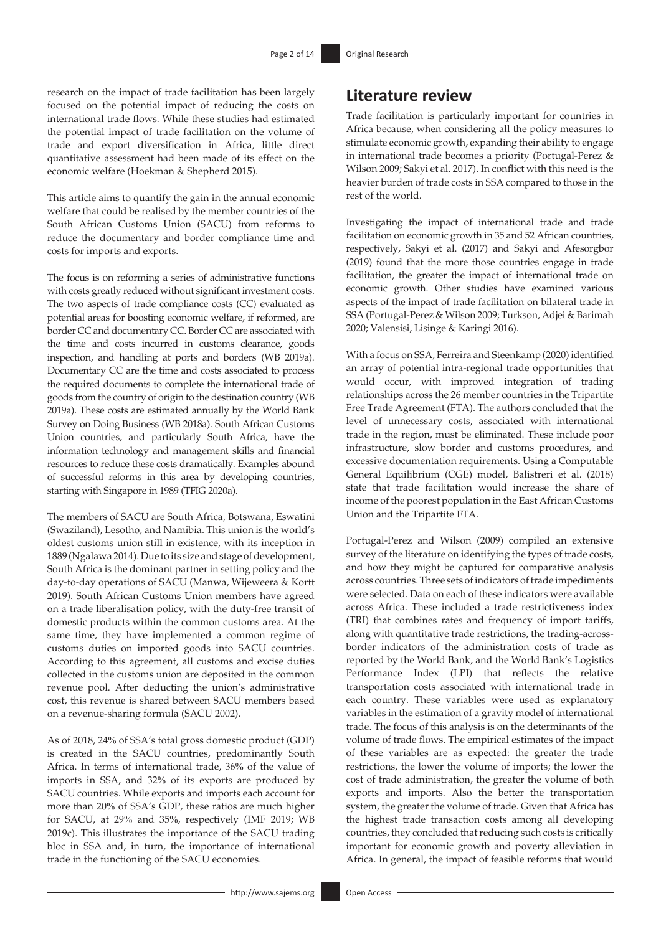research on the impact of trade facilitation has been largely focused on the potential impact of reducing the costs on international trade flows. While these studies had estimated the potential impact of trade facilitation on the volume of trade and export diversification in Africa, little direct quantitative assessment had been made of its effect on the economic welfare (Hoekman & Shepherd 2015).

This article aims to quantify the gain in the annual economic welfare that could be realised by the member countries of the South African Customs Union (SACU) from reforms to reduce the documentary and border compliance time and costs for imports and exports.

The focus is on reforming a series of administrative functions with costs greatly reduced without significant investment costs. The two aspects of trade compliance costs (CC) evaluated as potential areas for boosting economic welfare, if reformed, are border CC and documentary CC. Border CC are associated with the time and costs incurred in customs clearance, goods inspection, and handling at ports and borders (WB 2019a). Documentary CC are the time and costs associated to process the required documents to complete the international trade of goods from the country of origin to the destination country (WB 2019a). These costs are estimated annually by the World Bank Survey on Doing Business (WB 2018a). South African Customs Union countries, and particularly South Africa, have the information technology and management skills and financial resources to reduce these costs dramatically. Examples abound of successful reforms in this area by developing countries, starting with Singapore in 1989 (TFIG 2020a).

The members of SACU are South Africa, Botswana, Eswatini (Swaziland), Lesotho, and Namibia. This union is the world's oldest customs union still in existence, with its inception in 1889 (Ngalawa 2014). Due to its size and stage of development, South Africa is the dominant partner in setting policy and the day-to-day operations of SACU (Manwa, Wijeweera & Kortt 2019). South African Customs Union members have agreed on a trade liberalisation policy, with the duty-free transit of domestic products within the common customs area. At the same time, they have implemented a common regime of customs duties on imported goods into SACU countries. According to this agreement, all customs and excise duties collected in the customs union are deposited in the common revenue pool. After deducting the union's administrative cost, this revenue is shared between SACU members based on a revenue-sharing formula (SACU 2002).

As of 2018, 24% of SSA's total gross domestic product (GDP) is created in the SACU countries, predominantly South Africa. In terms of international trade, 36% of the value of imports in SSA, and 32% of its exports are produced by SACU countries. While exports and imports each account for more than 20% of SSA's GDP, these ratios are much higher for SACU, at 29% and 35%, respectively (IMF 2019; WB 2019c). This illustrates the importance of the SACU trading bloc in SSA and, in turn, the importance of international trade in the functioning of the SACU economies.

## **Literature review**

Trade facilitation is particularly important for countries in Africa because, when considering all the policy measures to stimulate economic growth, expanding their ability to engage in international trade becomes a priority (Portugal-Perez & Wilson 2009; Sakyi et al. 2017). In conflict with this need is the heavier burden of trade costs in SSA compared to those in the rest of the world.

Investigating the impact of international trade and trade facilitation on economic growth in 35 and 52 African countries, respectively, Sakyi et al. (2017) and Sakyi and Afesorgbor (2019) found that the more those countries engage in trade facilitation, the greater the impact of international trade on economic growth. Other studies have examined various aspects of the impact of trade facilitation on bilateral trade in SSA (Portugal-Perez & Wilson 2009; Turkson, Adjei & Barimah 2020; Valensisi, Lisinge & Karingi 2016).

With a focus on SSA, Ferreira and Steenkamp (2020) identified an array of potential intra-regional trade opportunities that would occur, with improved integration of trading relationships across the 26 member countries in the Tripartite Free Trade Agreement (FTA). The authors concluded that the level of unnecessary costs, associated with international trade in the region, must be eliminated. These include poor infrastructure, slow border and customs procedures, and excessive documentation requirements. Using a Computable General Equilibrium (CGE) model, Balistreri et al. (2018) state that trade facilitation would increase the share of income of the poorest population in the East African Customs Union and the Tripartite FTA.

Portugal-Perez and Wilson (2009) compiled an extensive survey of the literature on identifying the types of trade costs, and how they might be captured for comparative analysis across countries. Three sets of indicators of trade impediments were selected. Data on each of these indicators were available across Africa. These included a trade restrictiveness index (TRI) that combines rates and frequency of import tariffs, along with quantitative trade restrictions, the trading-acrossborder indicators of the administration costs of trade as reported by the World Bank, and the World Bank's Logistics Performance Index (LPI) that reflects the relative transportation costs associated with international trade in each country. These variables were used as explanatory variables in the estimation of a gravity model of international trade. The focus of this analysis is on the determinants of the volume of trade flows. The empirical estimates of the impact of these variables are as expected: the greater the trade restrictions, the lower the volume of imports; the lower the cost of trade administration, the greater the volume of both exports and imports. Also the better the transportation system, the greater the volume of trade. Given that Africa has the highest trade transaction costs among all developing countries, they concluded that reducing such costs is critically important for economic growth and poverty alleviation in Africa. In general, the impact of feasible reforms that would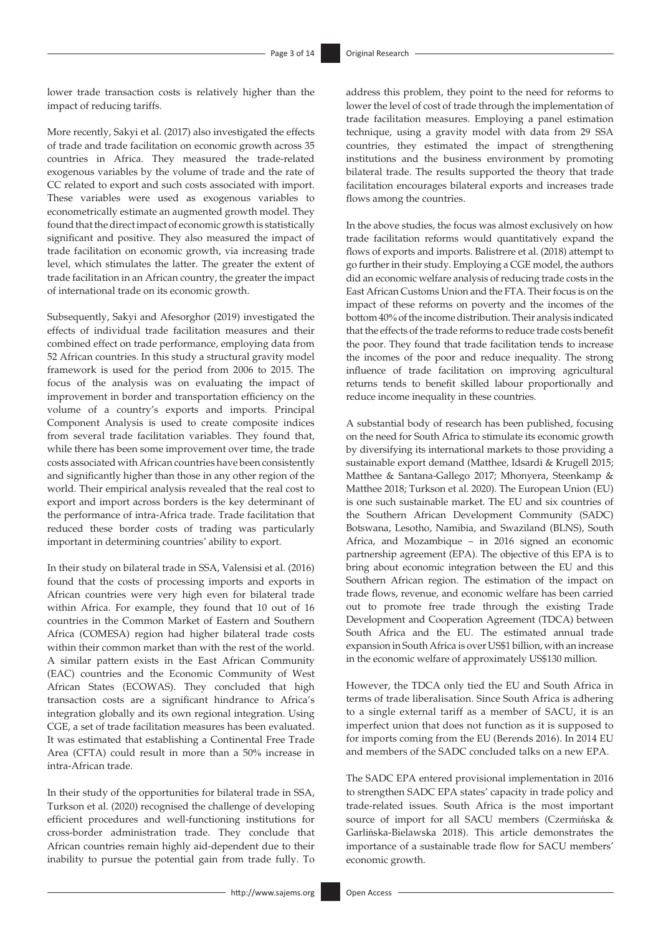lower trade transaction costs is relatively higher than the impact of reducing tariffs.

More recently, Sakyi et al. (2017) also investigated the effects of trade and trade facilitation on economic growth across 35 countries in Africa. They measured the trade-related exogenous variables by the volume of trade and the rate of CC related to export and such costs associated with import. These variables were used as exogenous variables to econometrically estimate an augmented growth model. They found that the direct impact of economic growth is statistically significant and positive. They also measured the impact of trade facilitation on economic growth, via increasing trade level, which stimulates the latter. The greater the extent of trade facilitation in an African country, the greater the impact of international trade on its economic growth.

Subsequently, Sakyi and Afesorghor (2019) investigated the effects of individual trade facilitation measures and their combined effect on trade performance, employing data from 52 African countries. In this study a structural gravity model framework is used for the period from 2006 to 2015. The focus of the analysis was on evaluating the impact of improvement in border and transportation efficiency on the volume of a country's exports and imports. Principal Component Analysis is used to create composite indices from several trade facilitation variables. They found that, while there has been some improvement over time, the trade costs associated with African countries have been consistently and significantly higher than those in any other region of the world. Their empirical analysis revealed that the real cost to export and import across borders is the key determinant of the performance of intra-Africa trade. Trade facilitation that reduced these border costs of trading was particularly important in determining countries' ability to export.

In their study on bilateral trade in SSA, Valensisi et al. (2016) found that the costs of processing imports and exports in African countries were very high even for bilateral trade within Africa. For example, they found that 10 out of 16 countries in the Common Market of Eastern and Southern Africa (COMESA) region had higher bilateral trade costs within their common market than with the rest of the world. A similar pattern exists in the East African Community (EAC) countries and the Economic Community of West African States (ECOWAS). They concluded that high transaction costs are a significant hindrance to Africa's integration globally and its own regional integration. Using CGE, a set of trade facilitation measures has been evaluated. It was estimated that establishing a Continental Free Trade Area (CFTA) could result in more than a 50% increase in intra-African trade.

In their study of the opportunities for bilateral trade in SSA, Turkson et al. (2020) recognised the challenge of developing efficient procedures and well-functioning institutions for cross-border administration trade. They conclude that African countries remain highly aid-dependent due to their inability to pursue the potential gain from trade fully. To

address this problem, they point to the need for reforms to lower the level of cost of trade through the implementation of trade facilitation measures. Employing a panel estimation technique, using a gravity model with data from 29 SSA countries, they estimated the impact of strengthening institutions and the business environment by promoting bilateral trade. The results supported the theory that trade facilitation encourages bilateral exports and increases trade flows among the countries.

In the above studies, the focus was almost exclusively on how trade facilitation reforms would quantitatively expand the flows of exports and imports. Balistrere et al. (2018) attempt to go further in their study. Employing a CGE model, the authors did an economic welfare analysis of reducing trade costs in the East African Customs Union and the FTA. Their focus is on the impact of these reforms on poverty and the incomes of the bottom 40% of the income distribution. Their analysis indicated that the effects of the trade reforms to reduce trade costs benefit the poor. They found that trade facilitation tends to increase the incomes of the poor and reduce inequality. The strong influence of trade facilitation on improving agricultural returns tends to benefit skilled labour proportionally and reduce income inequality in these countries.

A substantial body of research has been published, focusing on the need for South Africa to stimulate its economic growth by diversifying its international markets to those providing a sustainable export demand (Matthee, Idsardi & Krugell 2015; Matthee & Santana-Gallego 2017; Mhonyera, Steenkamp & Matthee 2018; Turkson et al. 2020). The European Union (EU) is one such sustainable market. The EU and six countries of the Southern African Development Community (SADC) Botswana, Lesotho, Namibia, and Swaziland (BLNS), South Africa, and Mozambique – in 2016 signed an economic partnership agreement (EPA). The objective of this EPA is to bring about economic integration between the EU and this Southern African region. The estimation of the impact on trade flows, revenue, and economic welfare has been carried out to promote free trade through the existing Trade Development and Cooperation Agreement (TDCA) between South Africa and the EU. The estimated annual trade expansion in South Africa is over US\$1 billion, with an increase in the economic welfare of approximately US\$130 million.

However, the TDCA only tied the EU and South Africa in terms of trade liberalisation. Since South Africa is adhering to a single external tariff as a member of SACU, it is an imperfect union that does not function as it is supposed to for imports coming from the EU (Berends 2016). In 2014 EU and members of the SADC concluded talks on a new EPA.

The SADC EPA entered provisional implementation in 2016 to strengthen SADC EPA states' capacity in trade policy and trade-related issues. South Africa is the most important source of import for all SACU members (Czermińska & Garlińska-Bielawska 2018). This article demonstrates the importance of a sustainable trade flow for SACU members' economic growth.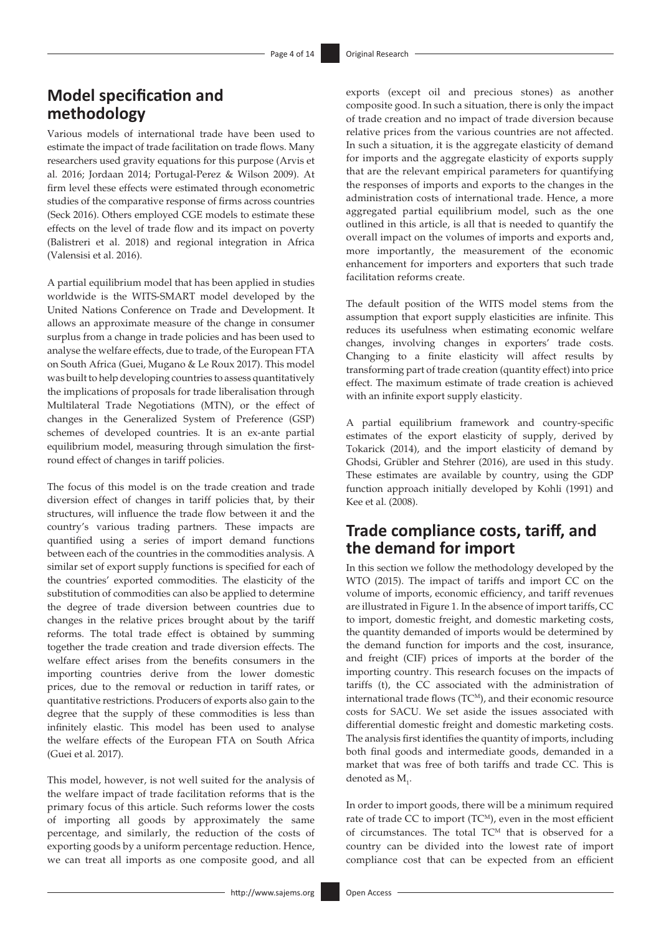# **Model specification and methodology**

Various models of international trade have been used to estimate the impact of trade facilitation on trade flows. Many researchers used gravity equations for this purpose (Arvis et al. 2016; Jordaan 2014; Portugal-Perez & Wilson 2009). At firm level these effects were estimated through econometric studies of the comparative response of firms across countries (Seck 2016). Others employed CGE models to estimate these effects on the level of trade flow and its impact on poverty (Balistreri et al. 2018) and regional integration in Africa (Valensisi et al. 2016).

A partial equilibrium model that has been applied in studies worldwide is the WITS-SMART model developed by the United Nations Conference on Trade and Development. It allows an approximate measure of the change in consumer surplus from a change in trade policies and has been used to analyse the welfare effects, due to trade, of the European FTA on South Africa (Guei, Mugano & Le Roux 2017). This model was built to help developing countries to assess quantitatively the implications of proposals for trade liberalisation through Multilateral Trade Negotiations (MTN), or the effect of changes in the Generalized System of Preference (GSP) schemes of developed countries. It is an ex-ante partial equilibrium model, measuring through simulation the firstround effect of changes in tariff policies.

The focus of this model is on the trade creation and trade diversion effect of changes in tariff policies that, by their structures, will influence the trade flow between it and the country's various trading partners. These impacts are quantified using a series of import demand functions between each of the countries in the commodities analysis. A similar set of export supply functions is specified for each of the countries' exported commodities. The elasticity of the substitution of commodities can also be applied to determine the degree of trade diversion between countries due to changes in the relative prices brought about by the tariff reforms. The total trade effect is obtained by summing together the trade creation and trade diversion effects. The welfare effect arises from the benefits consumers in the importing countries derive from the lower domestic prices, due to the removal or reduction in tariff rates, or quantitative restrictions. Producers of exports also gain to the degree that the supply of these commodities is less than infinitely elastic. This model has been used to analyse the welfare effects of the European FTA on South Africa (Guei et al. 2017).

This model, however, is not well suited for the analysis of the welfare impact of trade facilitation reforms that is the primary focus of this article. Such reforms lower the costs of importing all goods by approximately the same percentage, and similarly, the reduction of the costs of exporting goods by a uniform percentage reduction. Hence, we can treat all imports as one composite good, and all

exports (except oil and precious stones) as another composite good. In such a situation, there is only the impact of trade creation and no impact of trade diversion because relative prices from the various countries are not affected. In such a situation, it is the aggregate elasticity of demand for imports and the aggregate elasticity of exports supply that are the relevant empirical parameters for quantifying the responses of imports and exports to the changes in the administration costs of international trade. Hence, a more aggregated partial equilibrium model, such as the one outlined in this article, is all that is needed to quantify the overall impact on the volumes of imports and exports and, more importantly, the measurement of the economic enhancement for importers and exporters that such trade facilitation reforms create.

The default position of the WITS model stems from the assumption that export supply elasticities are infinite. This reduces its usefulness when estimating economic welfare changes, involving changes in exporters' trade costs. Changing to a finite elasticity will affect results by transforming part of trade creation (quantity effect) into price effect. The maximum estimate of trade creation is achieved with an infinite export supply elasticity.

A partial equilibrium framework and country-specific estimates of the export elasticity of supply, derived by Tokarick (2014), and the import elasticity of demand by Ghodsi, Grübler and Stehrer (2016), are used in this study. These estimates are available by country, using the GDP function approach initially developed by Kohli (1991) and Kee et al. (2008).

# **Trade compliance costs, tariff, and the demand for import**

In this section we follow the methodology developed by the WTO (2015). The impact of tariffs and import CC on the volume of imports, economic efficiency, and tariff revenues are illustrated in Figure 1. In the absence of import tariffs, CC to import, domestic freight, and domestic marketing costs, the quantity demanded of imports would be determined by the demand function for imports and the cost, insurance, and freight (CIF) prices of imports at the border of the importing country. This research focuses on the impacts of tariffs (t), the CC associated with the administration of international trade flows  $(TC<sup>M</sup>)$ , and their economic resource costs for SACU. We set aside the issues associated with differential domestic freight and domestic marketing costs. The analysis first identifies the quantity of imports, including both final goods and intermediate goods, demanded in a market that was free of both tariffs and trade CC. This is denoted as  $M_i$ .

In order to import goods, there will be a minimum required rate of trade CC to import (TC<sup>M</sup>), even in the most efficient of circumstances. The total TC<sup>M</sup> that is observed for a country can be divided into the lowest rate of import compliance cost that can be expected from an efficient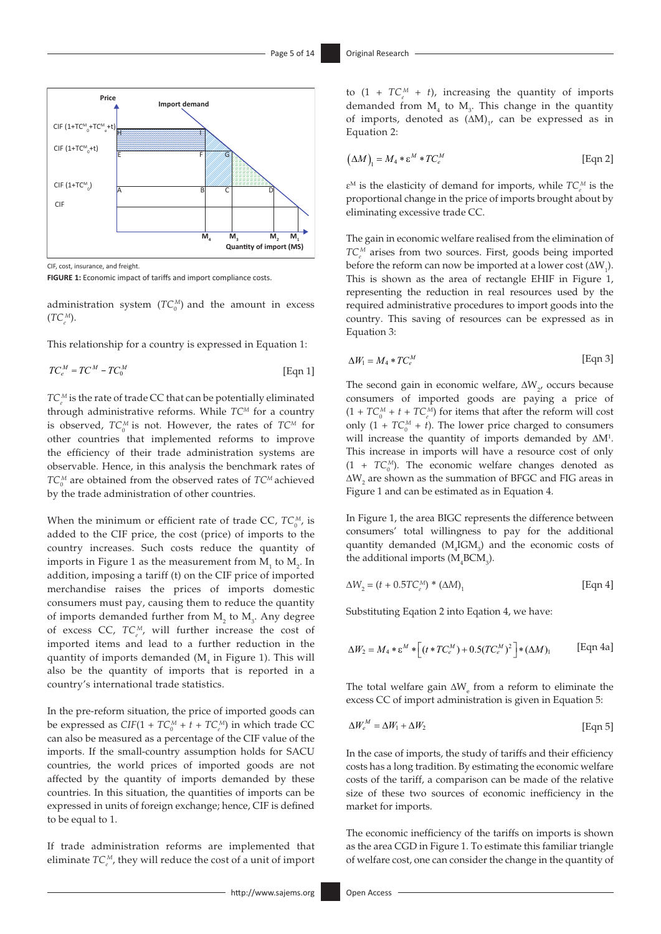

CIF, cost, insurance, and freight.

**FIGURE 1:** Economic impact of tariffs and import compliance costs.

administration system  $(TC_0^M)$  and the amount in excess (*TCe <sup>M</sup>*).

This relationship for a country is expressed in Equation 1:

$$
TC_e^M = TC^M - TC_0^M \tag{Eqn 1}
$$

 $TC_e^M$  is the rate of trade CC that can be potentially eliminated through administrative reforms. While *TCM* for a country is observed,  $TC_0^M$  is not. However, the rates of  $TC^M$  for other countries that implemented reforms to improve the efficiency of their trade administration systems are observable. Hence, in this analysis the benchmark rates of  $TC_0^M$  are obtained from the observed rates of  $TC^M$  achieved by the trade administration of other countries.

When the minimum or efficient rate of trade CC,  $TC_0^M$ , is added to the CIF price, the cost (price) of imports to the country increases. Such costs reduce the quantity of imports in Figure 1 as the measurement from  $\mathbf{M}_1$  to  $\mathbf{M}_2$ . In addition, imposing a tariff (t) on the CIF price of imported merchandise raises the prices of imports domestic consumers must pay, causing them to reduce the quantity of imports demanded further from  $M_2$  to  $M_3$ . Any degree of excess CC,  $TC_e^M$ , will further increase the cost of imported items and lead to a further reduction in the quantity of imports demanded  $(M<sub>4</sub>$  in Figure 1). This will also be the quantity of imports that is reported in a country's international trade statistics.

In the pre-reform situation, the price of imported goods can be expressed as  $CIF(1 + TC_0^M + t + TC_e^M)$  in which trade CC can also be measured as a percentage of the CIF value of the imports. If the small-country assumption holds for SACU countries, the world prices of imported goods are not affected by the quantity of imports demanded by these countries. In this situation, the quantities of imports can be expressed in units of foreign exchange; hence, CIF is defined to be equal to 1.

If trade administration reforms are implemented that eliminate  $TC_e^M$ , they will reduce the cost of a unit of import

to  $(1 + TC_e^M + t)$ , increasing the quantity of imports demanded from  $M_4$  to  $M_3$ . This change in the quantity of imports, denoted as  $(∆M)$ <sub>1</sub>, can be expressed as in Equation 2:

$$
(\Delta M)_{1} = M_{4} * \varepsilon^{M} * T C_{e}^{M}
$$
 [Eqn 2]

 $\varepsilon^M$  is the elasticity of demand for imports, while  $TC_e^M$  is the proportional change in the price of imports brought about by eliminating excessive trade CC.

The gain in economic welfare realised from the elimination of  $TC_e^M$  arises from two sources. First, goods being imported before the reform can now be imported at a lower cost  $(\Delta W_1)$ . This is shown as the area of rectangle EHIF in Figure 1, representing the reduction in real resources used by the required administrative procedures to import goods into the country. This saving of resources can be expressed as in Equation 3:

$$
\Delta W_1 = M_4 * T C_e^M \tag{Eqn 3}
$$

The second gain in economic welfare,  $\Delta W_{2}$ , occurs because consumers of imported goods are paying a price of  $(1 + TC_0^M + t + TC_e^M)$  for items that after the reform will cost only  $(1 + TC_0^M + t)$ . The lower price charged to consumers will increase the quantity of imports demanded by ∆M<sup>1</sup>. This increase in imports will have a resource cost of only  $(1 + TC_0^M)$ . The economic welfare changes denoted as ∆W<sub>2</sub> are shown as the summation of BFGC and FIG areas in Figure 1 and can be estimated as in Equation 4.

In Figure 1, the area BIGC represents the difference between consumers' total willingness to pay for the additional quantity demanded  $(M_4IGM_3)$  and the economic costs of the additional imports  $(M_4BCM_3)$ .

$$
\Delta W_2 = (t + 0.5T C_e^M) * (\Delta M)_1
$$
 [Eqn 4]

Substituting Eqation 2 into Eqation 4, we have:

$$
\Delta W_2 = M_4 \ast \varepsilon^M \ast \left[ (t \ast TC_e^M) + 0.5 (TC_e^M)^2 \right] \ast (\Delta M)_1 \qquad \text{[Eqn 4a]}
$$

The total welfare gain  $\Delta W$ <sub>e</sub> from a reform to eliminate the excess CC of import administration is given in Equation 5:

$$
\Delta W_e^M = \Delta W_1 + \Delta W_2 \tag{Eqn 5}
$$

In the case of imports, the study of tariffs and their efficiency costs has a long tradition. By estimating the economic welfare costs of the tariff, a comparison can be made of the relative size of these two sources of economic inefficiency in the market for imports.

The economic inefficiency of the tariffs on imports is shown as the area CGD in Figure 1. To estimate this familiar triangle of welfare cost, one can consider the change in the quantity of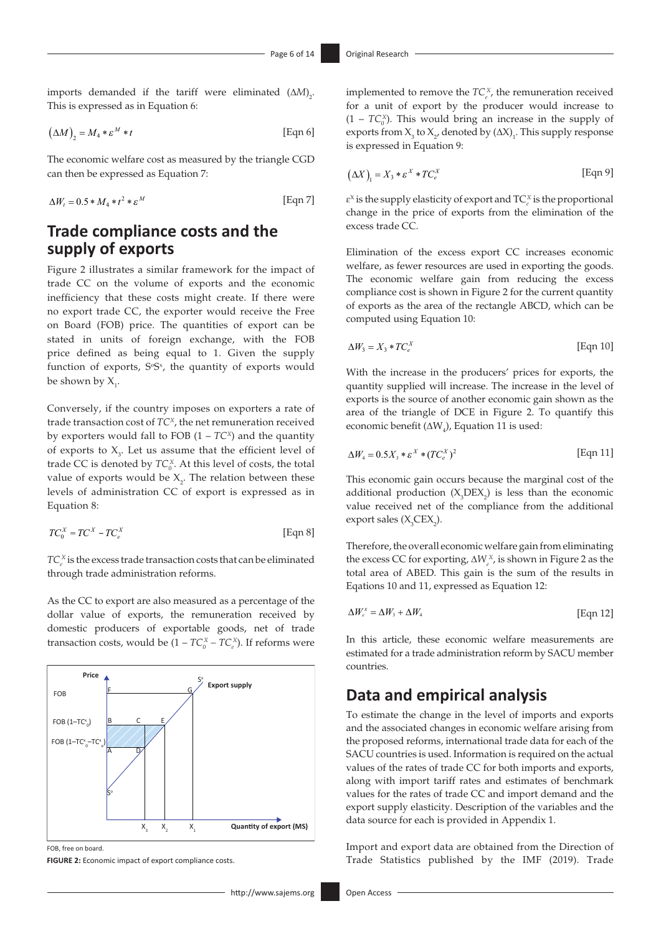imports demanded if the tariff were eliminated (∆*M*) 2 . This is expressed as in Equation 6:

$$
\left(\Delta M\right)_2 = M_4 * \varepsilon^M * t \tag{Eqn 6}
$$

The economic welfare cost as measured by the triangle CGD can then be expressed as Equation 7:

$$
\Delta W_t = 0.5 * M_4 * t^2 * \varepsilon^M \tag{Eqn 7}
$$

# **Trade compliance costs and the supply of exports**

Figure 2 illustrates a similar framework for the impact of trade CC on the volume of exports and the economic inefficiency that these costs might create. If there were no export trade CC, the exporter would receive the Free on Board (FOB) price. The quantities of export can be stated in units of foreign exchange, with the FOB price defined as being equal to 1. Given the supply function of exports,  $S^sS^x$ , the quantity of exports would be shown by  $X_i$ .

Conversely, if the country imposes on exporters a rate of trade transaction cost of *TCX*, the net remuneration received by exporters would fall to FOB  $(1 - TC^x)$  and the quantity of exports to  $X_3$ . Let us assume that the efficient level of trade CC is denoted by  $TC_0^X$ . At this level of costs, the total value of exports would be  $X_2$ . The relation between these levels of administration CC of export is expressed as in Equation 8:

$$
TC_0^X = TC^X - TC_e^X \tag{Eqn 8}
$$

 $TC_e^X$  is the excess trade transaction costs that can be eliminated through trade administration reforms.

As the CC to export are also measured as a percentage of the dollar value of exports, the remuneration received by domestic producers of exportable goods, net of trade transaction costs, would be  $(1 - TC_0^X - TC_e^X)$ . If reforms were



FOB, free on board.

**FIGURE 2:** Economic impact of export compliance costs.

implemented to remove the  $TC_e^X$ , the remuneration received for a unit of export by the producer would increase to  $(1 - TC_0^x)$ . This would bring an increase in the supply of exports from  $X_3$  to  $X_2$ , denoted by  $(∆X)_1$ . This supply response is expressed in Equation 9:

$$
(\Delta X)_{1} = X_{3} * \varepsilon^{X} * T C_{e}^{X}
$$
 [Eqn 9]

 $\varepsilon^{X}$  is the supply elasticity of export and  $TC_e^X$  is the proportional change in the price of exports from the elimination of the excess trade CC.

Elimination of the excess export CC increases economic welfare, as fewer resources are used in exporting the goods. The economic welfare gain from reducing the excess compliance cost is shown in Figure 2 for the current quantity of exports as the area of the rectangle ABCD, which can be computed using Equation 10:

$$
\Delta W_3 = X_3 * T C_e^X \tag{Eqn 10}
$$

With the increase in the producers' prices for exports, the quantity supplied will increase. The increase in the level of exports is the source of another economic gain shown as the area of the triangle of DCE in Figure 2. To quantify this economic benefit ( $\Delta W$ <sub>4</sub>), Equation 11 is used:

$$
\Delta W_4 = 0.5X_3 * \varepsilon^X * (TC_e^X)^2 \tag{Eqn 11}
$$

This economic gain occurs because the marginal cost of the additional production  $(X_3$ DEX<sub>2</sub>) is less than the economic value received net of the compliance from the additional  $\text{export sales } (X_{3}CEX_{2}).$ 

Therefore, the overall economic welfare gain from eliminating the excess CC for exporting,  $\Delta W_e^X$ , is shown in Figure 2 as the total area of ABED. This gain is the sum of the results in Eqations 10 and 11, expressed as Equation 12:

$$
\Delta W_{e}^{x} = \Delta W_{3} + \Delta W_{4}
$$
 [Eqn 12]

In this article, these economic welfare measurements are estimated for a trade administration reform by SACU member countries.

## **Data and empirical analysis**

To estimate the change in the level of imports and exports and the associated changes in economic welfare arising from the proposed reforms, international trade data for each of the SACU countries is used. Information is required on the actual values of the rates of trade CC for both imports and exports, along with import tariff rates and estimates of benchmark values for the rates of trade CC and import demand and the export supply elasticity. Description of the variables and the data source for each is provided in Appendix 1.

Import and export data are obtained from the Direction of Trade Statistics published by the IMF (2019). Trade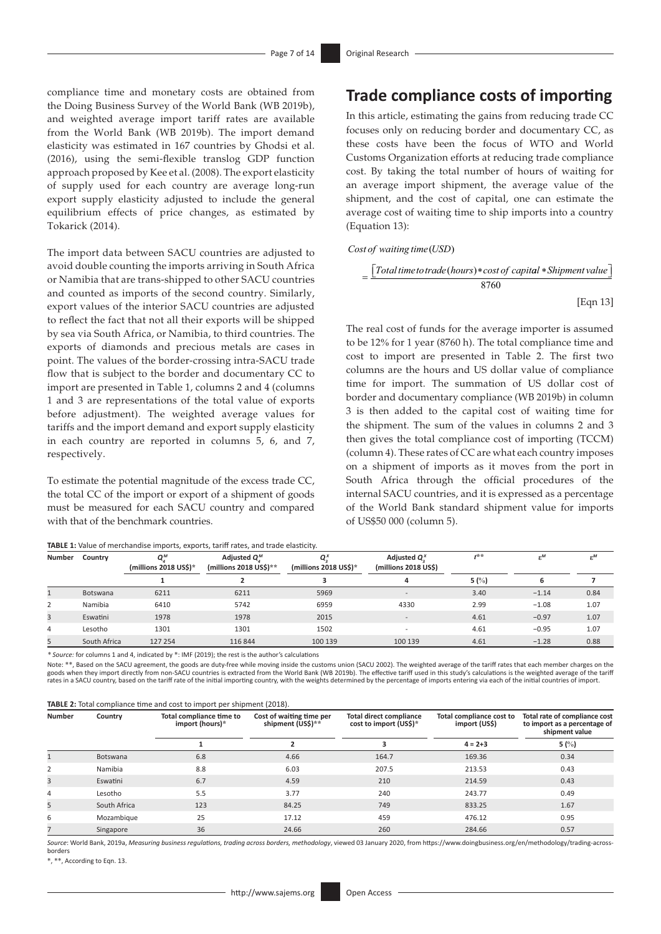compliance time and monetary costs are obtained from the Doing Business Survey of the World Bank (WB 2019b), and weighted average import tariff rates are available from the World Bank (WB 2019b). The import demand elasticity was estimated in 167 countries by Ghodsi et al. (2016), using the semi-flexible translog GDP function approach proposed by Kee et al. (2008). The export elasticity of supply used for each country are average long-run export supply elasticity adjusted to include the general equilibrium effects of price changes, as estimated by Tokarick (2014).

The import data between SACU countries are adjusted to avoid double counting the imports arriving in South Africa or Namibia that are trans-shipped to other SACU countries and counted as imports of the second country. Similarly, export values of the interior SACU countries are adjusted to reflect the fact that not all their exports will be shipped by sea via South Africa, or Namibia, to third countries. The exports of diamonds and precious metals are cases in point. The values of the border-crossing intra-SACU trade flow that is subject to the border and documentary CC to import are presented in Table 1, columns 2 and 4 (columns 1 and 3 are representations of the total value of exports before adjustment). The weighted average values for tariffs and the import demand and export supply elasticity in each country are reported in columns 5, 6, and 7, respectively.

To estimate the potential magnitude of the excess trade CC, the total CC of the import or export of a shipment of goods must be measured for each SACU country and compared with that of the benchmark countries.

|  | TABLE 1: Value of merchandise imports, exports, tariff rates, and trade elasticity. |  |  |  |
|--|-------------------------------------------------------------------------------------|--|--|--|
|  |                                                                                     |  |  |  |

## **Trade compliance costs of importing**

In this article, estimating the gains from reducing trade CC focuses only on reducing border and documentary CC, as these costs have been the focus of WTO and World Customs Organization efforts at reducing trade compliance cost. By taking the total number of hours of waiting for an average import shipment, the average value of the shipment, and the cost of capital, one can estimate the average cost of waiting time to ship imports into a country (Equation 13):

#### $Cost of waiting time (USD)$

$$
= \frac{[Total time to trade(hours)* cost of capital * Shipment value]}{8760}
$$
  
[Eqn 13]

The real cost of funds for the average importer is assumed to be 12% for 1 year (8760 h). The total compliance time and cost to import are presented in Table 2. The first two columns are the hours and US dollar value of compliance time for import. The summation of US dollar cost of border and documentary compliance (WB 2019b) in column 3 is then added to the capital cost of waiting time for the shipment. The sum of the values in columns 2 and 3 then gives the total compliance cost of importing (TCCM) (column 4). These rates of CC are what each country imposes on a shipment of imports as it moves from the port in South Africa through the official procedures of the internal SACU countries, and it is expressed as a percentage of the World Bank standard shipment value for imports of US\$50 000 (column 5).

| Number         | Country      | 0м<br>(millions 2018 US\$)* | Adjusted $Q_{.}^{M}$<br>(millions 2018 US\$)** | ο×<br>(millions 2018 US\$)* | Adjusted $Q^X$<br>(millions 2018 US\$) | $4**$   | $\varepsilon^M$ | $\varepsilon^M$ |
|----------------|--------------|-----------------------------|------------------------------------------------|-----------------------------|----------------------------------------|---------|-----------------|-----------------|
|                |              |                             |                                                |                             | 4                                      | 5 $(%)$ | 6               |                 |
|                | Botswana     | 6211                        | 6211                                           | 5969                        | $\overline{\phantom{a}}$               | 3.40    | $-1.14$         | 0.84            |
| $\overline{2}$ | Namibia      | 6410                        | 5742                                           | 6959                        | 4330                                   | 2.99    | $-1.08$         | 1.07            |
| 3              | Eswatini     | 1978                        | 1978                                           | 2015                        | $\overline{\phantom{a}}$               | 4.61    | $-0.97$         | 1.07            |
| 4              | Lesotho      | 1301                        | 1301                                           | 1502                        | $\overline{\phantom{a}}$               | 4.61    | $-0.95$         | 1.07            |
| 5              | South Africa | 127 254                     | 116 844                                        | 100 139                     | 100 139                                | 4.61    | $-1.28$         | 0.88            |

*\* Source:* for columns 1 and 4, indicated by \*: IMF (2019); the rest is the author's calculations

Note: \*\*, Based on the SACU agreement, the goods are duty-free while moving inside the customs union (SACU 2002). The weighted average of the tariff rates that each member charges on the goods when they import directly from non-SACU countries is extracted from the World Bank (WB 2019b). The effective tariff used in this study's calculations is the weighted average of the tariff rates in a SACU country, based on the tariff rate of the initial importing country, with the weights determined by the percentage of imports entering via each of the initial countries of import.

| TABLE 2: Total compliance time and cost to import per shipment (2018). |  |  |  |  |  |  |  |
|------------------------------------------------------------------------|--|--|--|--|--|--|--|
|------------------------------------------------------------------------|--|--|--|--|--|--|--|

| <b>Number</b><br>Country |              | Total compliance time to<br>import (hours)* | Cost of waiting time per<br>shipment (US\$)** | <b>Total direct compliance</b><br>cost to import (US\$)* | Total compliance cost to<br>import (US\$) | Total rate of compliance cost<br>to import as a percentage of<br>shipment value |
|--------------------------|--------------|---------------------------------------------|-----------------------------------------------|----------------------------------------------------------|-------------------------------------------|---------------------------------------------------------------------------------|
|                          |              |                                             | $\overline{2}$                                | 3                                                        | $4 = 2 + 3$                               | 5 $(%)$                                                                         |
|                          | Botswana     | 6.8                                         | 4.66                                          | 164.7                                                    | 169.36                                    | 0.34                                                                            |
| 2                        | Namibia      | 8.8                                         | 6.03                                          | 207.5                                                    | 213.53                                    | 0.43                                                                            |
| 3                        | Eswatini     | 6.7                                         | 4.59                                          | 210                                                      | 214.59                                    | 0.43                                                                            |
| 4                        | Lesotho      | 5.5                                         | 3.77                                          | 240                                                      | 243.77                                    | 0.49                                                                            |
| 5                        | South Africa | 123                                         | 84.25                                         | 749                                                      | 833.25                                    | 1.67                                                                            |
| 6                        | Mozambique   | 25                                          | 17.12                                         | 459                                                      | 476.12                                    | 0.95                                                                            |
|                          | Singapore    | 36                                          | 24.66                                         | 260                                                      | 284.66                                    | 0.57                                                                            |

*Source*: World Bank, 2019a, *Measuring business regulations, trading across borders, methodology*, viewed 03 January 2020, from [https://www.doingbusiness.org/en/methodology/trading-across](https://www.doingbusiness.org/en/methodology/trading-across-borders)[borders](https://www.doingbusiness.org/en/methodology/trading-across-borders)

\*, \*\*, According to Eqn. 13.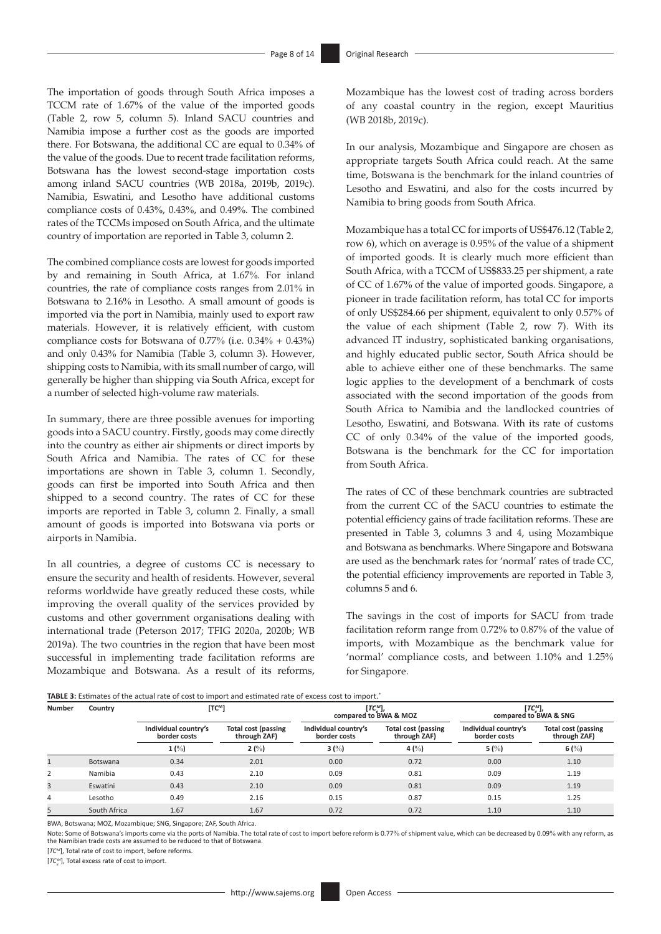The importation of goods through South Africa imposes a TCCM rate of 1.67% of the value of the imported goods (Table 2, row 5, column 5). Inland SACU countries and Namibia impose a further cost as the goods are imported there. For Botswana, the additional CC are equal to 0.34% of the value of the goods. Due to recent trade facilitation reforms, Botswana has the lowest second-stage importation costs among inland SACU countries (WB 2018a, 2019b, 2019c). Namibia, Eswatini, and Lesotho have additional customs compliance costs of 0.43%, 0.43%, and 0.49%. The combined rates of the TCCMs imposed on South Africa, and the ultimate country of importation are reported in Table 3, column 2.

The combined compliance costs are lowest for goods imported by and remaining in South Africa, at 1.67%. For inland countries, the rate of compliance costs ranges from 2.01% in Botswana to 2.16% in Lesotho. A small amount of goods is imported via the port in Namibia, mainly used to export raw materials. However, it is relatively efficient, with custom compliance costs for Botswana of 0.77% (i.e. 0.34% + 0.43%) and only 0.43% for Namibia (Table 3, column 3). However, shipping costs to Namibia, with its small number of cargo, will generally be higher than shipping via South Africa, except for a number of selected high-volume raw materials.

In summary, there are three possible avenues for importing goods into a SACU country. Firstly, goods may come directly into the country as either air shipments or direct imports by South Africa and Namibia. The rates of CC for these importations are shown in Table 3, column 1. Secondly, goods can first be imported into South Africa and then shipped to a second country. The rates of CC for these imports are reported in Table 3, column 2. Finally, a small amount of goods is imported into Botswana via ports or airports in Namibia.

In all countries, a degree of customs CC is necessary to ensure the security and health of residents. However, several reforms worldwide have greatly reduced these costs, while improving the overall quality of the services provided by customs and other government organisations dealing with international trade (Peterson 2017; TFIG 2020a, 2020b; WB 2019a). The two countries in the region that have been most successful in implementing trade facilitation reforms are Mozambique and Botswana. As a result of its reforms, Mozambique has the lowest cost of trading across borders of any coastal country in the region, except Mauritius (WB 2018b, 2019c).

In our analysis, Mozambique and Singapore are chosen as appropriate targets South Africa could reach. At the same time, Botswana is the benchmark for the inland countries of Lesotho and Eswatini, and also for the costs incurred by Namibia to bring goods from South Africa.

Mozambique has a total CC for imports of US\$476.12 (Table 2, row 6), which on average is 0.95% of the value of a shipment of imported goods. It is clearly much more efficient than South Africa, with a TCCM of US\$833.25 per shipment, a rate of CC of 1.67% of the value of imported goods. Singapore, a pioneer in trade facilitation reform, has total CC for imports of only US\$284.66 per shipment, equivalent to only 0.57% of the value of each shipment (Table 2, row 7). With its advanced IT industry, sophisticated banking organisations, and highly educated public sector, South Africa should be able to achieve either one of these benchmarks. The same logic applies to the development of a benchmark of costs associated with the second importation of the goods from South Africa to Namibia and the landlocked countries of Lesotho, Eswatini, and Botswana. With its rate of customs CC of only 0.34% of the value of the imported goods, Botswana is the benchmark for the CC for importation from South Africa.

The rates of CC of these benchmark countries are subtracted from the current CC of the SACU countries to estimate the potential efficiency gains of trade facilitation reforms. These are presented in Table 3, columns 3 and 4, using Mozambique and Botswana as benchmarks. Where Singapore and Botswana are used as the benchmark rates for 'normal' rates of trade CC, the potential efficiency improvements are reported in Table 3, columns 5 and 6.

The savings in the cost of imports for SACU from trade facilitation reform range from 0.72% to 0.87% of the value of imports, with Mozambique as the benchmark value for 'normal' compliance costs, and between 1.10% and 1.25% for Singapore.

| <b>Number</b><br>Country |              | $[TC^M]$                             |                                     | $[TC^M_\circ],$<br>compared to BWA & MOZ |                                     | $[TC^M_\alpha]$ ,<br>compared to BWA & SNG |                                            |
|--------------------------|--------------|--------------------------------------|-------------------------------------|------------------------------------------|-------------------------------------|--------------------------------------------|--------------------------------------------|
|                          |              | Individual country's<br>border costs | Total cost (passing<br>through ZAF) | Individual country's<br>border costs     | Total cost (passing<br>through ZAF) | Individual country's<br>border costs       | <b>Total cost (passing</b><br>through ZAF) |
|                          |              | $1 \frac{0}{0}$                      | 2(%)                                | 3 $(\%)$                                 | 4 $(\%)$                            | 5 $(%)$                                    | 6 $(\%)$                                   |
|                          | Botswana     | 0.34                                 | 2.01                                | 0.00                                     | 0.72                                | 0.00                                       | 1.10                                       |
| 2                        | Namibia      | 0.43                                 | 2.10                                | 0.09                                     | 0.81                                | 0.09                                       | 1.19                                       |
| 3                        | Eswatini     | 0.43                                 | 2.10                                | 0.09                                     | 0.81                                | 0.09                                       | 1.19                                       |
| 4                        | Lesotho      | 0.49                                 | 2.16                                | 0.15                                     | 0.87                                | 0.15                                       | 1.25                                       |
| 5                        | South Africa | 1.67                                 | 1.67                                | 0.72                                     | 0.72                                | 1.10                                       | 1.10                                       |

BWA, Botswana; MOZ, Mozambique; SNG, Singapore; ZAF, South Africa.

Note: Some of Botswana's imports come via the ports of Namibia. The total rate of cost to import before reform is 0.77% of shipment value, which can be decreased by 0.09% with any reform, as<br>the Namibian trade costs are as

[*TCM*], Total rate of cost to import, before reforms.

[*TC*<sup>M</sup>], Total excess rate of cost to import.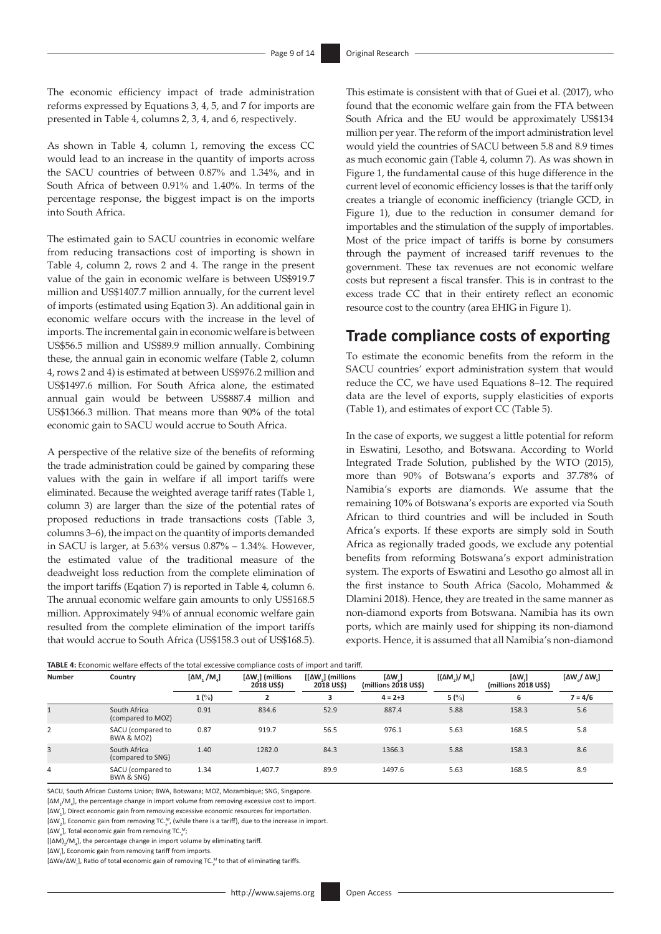The economic efficiency impact of trade administration reforms expressed by Equations 3, 4, 5, and 7 for imports are presented in Table 4, columns 2, 3, 4, and 6, respectively.

As shown in Table 4, column 1, removing the excess CC would lead to an increase in the quantity of imports across the SACU countries of between 0.87% and 1.34%, and in South Africa of between 0.91% and 1.40%. In terms of the percentage response, the biggest impact is on the imports into South Africa.

The estimated gain to SACU countries in economic welfare from reducing transactions cost of importing is shown in Table 4, column 2, rows 2 and 4. The range in the present value of the gain in economic welfare is between US\$919.7 million and US\$1407.7 million annually, for the current level of imports (estimated using Eqation 3). An additional gain in economic welfare occurs with the increase in the level of imports. The incremental gain in economic welfare is between US\$56.5 million and US\$89.9 million annually. Combining these, the annual gain in economic welfare (Table 2, column 4, rows 2 and 4) is estimated at between US\$976.2 million and US\$1497.6 million. For South Africa alone, the estimated annual gain would be between US\$887.4 million and US\$1366.3 million. That means more than 90% of the total economic gain to SACU would accrue to South Africa.

A perspective of the relative size of the benefits of reforming the trade administration could be gained by comparing these values with the gain in welfare if all import tariffs were eliminated. Because the weighted average tariff rates (Table 1, column 3) are larger than the size of the potential rates of proposed reductions in trade transactions costs (Table 3, columns 3–6), the impact on the quantity of imports demanded in SACU is larger, at 5.63% versus 0.87% – 1.34%. However, the estimated value of the traditional measure of the deadweight loss reduction from the complete elimination of the import tariffs (Eqation 7) is reported in Table 4, column 6. The annual economic welfare gain amounts to only US\$168.5 million. Approximately 94% of annual economic welfare gain resulted from the complete elimination of the import tariffs that would accrue to South Africa (US\$158.3 out of US\$168.5).

This estimate is consistent with that of Guei et al. (2017), who found that the economic welfare gain from the FTA between South Africa and the EU would be approximately US\$134 million per year. The reform of the import administration level would yield the countries of SACU between 5.8 and 8.9 times as much economic gain (Table 4, column 7). As was shown in Figure 1, the fundamental cause of this huge difference in the current level of economic efficiency losses is that the tariff only creates a triangle of economic inefficiency (triangle GCD, in Figure 1), due to the reduction in consumer demand for importables and the stimulation of the supply of importables. Most of the price impact of tariffs is borne by consumers through the payment of increased tariff revenues to the government. These tax revenues are not economic welfare costs but represent a fiscal transfer. This is in contrast to the excess trade CC that in their entirety reflect an economic resource cost to the country (area EHIG in Figure 1).

# **Trade compliance costs of exporting**

To estimate the economic benefits from the reform in the SACU countries' export administration system that would reduce the CC, we have used Equations 8–12. The required data are the level of exports, supply elasticities of exports (Table 1), and estimates of export CC (Table 5).

In the case of exports, we suggest a little potential for reform in Eswatini, Lesotho, and Botswana. According to World Integrated Trade Solution, published by the WTO (2015), more than 90% of Botswana's exports and 37.78% of Namibia's exports are diamonds. We assume that the remaining 10% of Botswana's exports are exported via South African to third countries and will be included in South Africa's exports. If these exports are simply sold in South Africa as regionally traded goods, we exclude any potential benefits from reforming Botswana's export administration system. The exports of Eswatini and Lesotho go almost all in the first instance to South Africa (Sacolo, Mohammed & Dlamini 2018). Hence, they are treated in the same manner as non-diamond exports from Botswana. Namibia has its own ports, which are mainly used for shipping its non-diamond exports. Hence, it is assumed that all Namibia's non-diamond

|               | <b>TABLE 4:</b> Economic welfare effects of the total excessive compliance costs of import and tariff. |                   |                               |                                                  |                                                             |                       |                                                 |                                          |  |  |
|---------------|--------------------------------------------------------------------------------------------------------|-------------------|-------------------------------|--------------------------------------------------|-------------------------------------------------------------|-----------------------|-------------------------------------------------|------------------------------------------|--|--|
| <b>Number</b> | Country                                                                                                | $[M, /M_{\odot}]$ | [ΔW]] (millions<br>2018 US\$) | $\lceil \Delta W \rceil$ (millions<br>2018 US\$) | $\lbrack \Delta \mathsf{W} \rbrack$<br>(millions 2018 US\$) | $[(\Delta M_1)/ M_1]$ | $\left[\Delta W\right]$<br>(millions 2018 US\$) | $\left[\Delta W_{.}/\Delta W_{.}\right]$ |  |  |
|               |                                                                                                        | 1(%)              |                               |                                                  | $4 = 2 + 3$                                                 | 5 $(%)$               | 6                                               | $7 = 4/6$                                |  |  |
|               | South Africa<br>(compared to MOZ)                                                                      | 0.91              | 834.6                         | 52.9                                             | 887.4                                                       | 5.88                  | 158.3                                           | 5.6                                      |  |  |
|               | SACU (compared to<br>BWA & MOZ)                                                                        | 0.87              | 919.7                         | 56.5                                             | 976.1                                                       | 5.63                  | 168.5                                           | 5.8                                      |  |  |
| 3             | South Africa<br>(compared to SNG)                                                                      | 1.40              | 1282.0                        | 84.3                                             | 1366.3                                                      | 5.88                  | 158.3                                           | 8.6                                      |  |  |
| 4             | SACU (compared to<br>BWA & SNG)                                                                        | 1.34              | 1,407.7                       | 89.9                                             | 1497.6                                                      | 5.63                  | 168.5                                           | 8.9                                      |  |  |

SACU, South African Customs Union; BWA, Botswana; MOZ, Mozambique; SNG, Singapore.

[∆M<sub>1</sub>/M<sub>4</sub>], the percentage change in import volume from removing excessive cost to import.

[∆W<sub>1</sub>], Direct economic gain from removing excessive economic resources for importation.

[∆W<sub>2</sub>], Economic gain from removing TC.<sup>M</sup>, (while there is a tariff), due to the increase in import.

[∆W<sup>e</sup> ], Total economic gain from removing TC.*<sup>e</sup> M*;

 $[(\Delta M)_{2}/M_{4}]$ , the percentage change in import volume by eliminating tariff.

[∆W<sub>t</sub>], Economic gain from removing tariff from imports.

[∆We/∆W<sub>t</sub>], Ratio of total economic gain of removing TC.<sup>M</sup> to that of eliminating tariffs.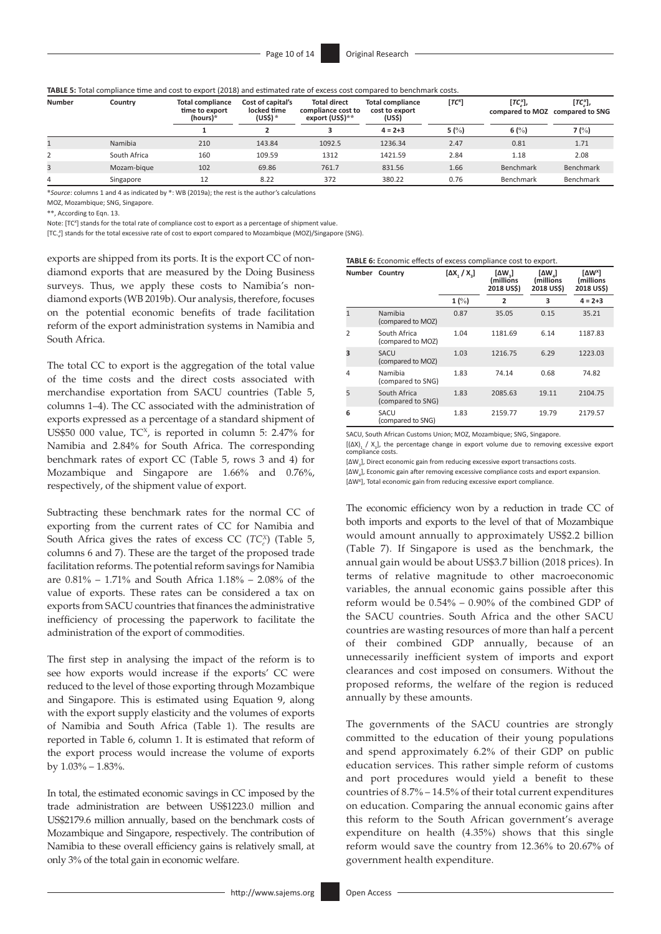| TABLE 5: Total compliance time and cost to export (2018) and estimated rate of excess cost compared to benchmark costs. |  |  |  |
|-------------------------------------------------------------------------------------------------------------------------|--|--|--|
|-------------------------------------------------------------------------------------------------------------------------|--|--|--|

| <b>Number</b> | Country      | <b>Total compliance</b><br>time to export<br>(hours) $*$ | Cost of capital's<br>locked time<br>(US\$)* | <b>Total direct</b><br>compliance cost to<br>export (US\$)** | Total compliance<br>cost to export<br>(US\$) | $[TC^x]$ | $[TC_{\circ}^x],$<br>compared to MOZ compared to SNG | $[TC_{\circ}^x],$ |
|---------------|--------------|----------------------------------------------------------|---------------------------------------------|--------------------------------------------------------------|----------------------------------------------|----------|------------------------------------------------------|-------------------|
|               |              |                                                          |                                             |                                                              | $4 = 2 + 3$                                  | 5(%)     | 6 $(%)$                                              | 7 $(%)$           |
|               | Namibia      | 210                                                      | 143.84                                      | 1092.5                                                       | 1236.34                                      | 2.47     | 0.81                                                 | 1.71              |
|               | South Africa | 160                                                      | 109.59                                      | 1312                                                         | 1421.59                                      | 2.84     | 1.18                                                 | 2.08              |
|               | Mozam-bique  | 102                                                      | 69.86                                       | 761.7                                                        | 831.56                                       | 1.66     | Benchmark                                            | Benchmark         |
| 4             | Singapore    | 12                                                       | 8.22                                        | 372                                                          | 380.22                                       | 0.76     | Benchmark                                            | Benchmark         |

\**Source*: columns 1 and 4 as indicated by \*: WB (2019a); the rest is the author's calculations

MOZ, Mozambique; SNG, Singapore.

\*\*, According to Eqn. 13.

Note: [TC*<sup>X</sup>* ] stands for the total rate of compliance cost to export as a percentage of shipment value.

[TC.*<sup>e</sup> X* ] stands for the total excessive rate of cost to export compared to Mozambique (MOZ)/Singapore (SNG).

exports are shipped from its ports. It is the export CC of nondiamond exports that are measured by the Doing Business surveys. Thus, we apply these costs to Namibia's nondiamond exports (WB 2019b). Our analysis, therefore, focuses on the potential economic benefits of trade facilitation reform of the export administration systems in Namibia and South Africa.

The total CC to export is the aggregation of the total value of the time costs and the direct costs associated with merchandise exportation from SACU countries (Table 5, columns 1–4). The CC associated with the administration of exports expressed as a percentage of a standard shipment of US\$50 000 value,  $TC^x$ , is reported in column 5: 2.47% for Namibia and 2.84% for South Africa. The corresponding benchmark rates of export CC (Table 5, rows 3 and 4) for Mozambique and Singapore are 1.66% and 0.76%, respectively, of the shipment value of export.

Subtracting these benchmark rates for the normal CC of exporting from the current rates of CC for Namibia and South Africa gives the rates of excess CC (*TC*<sup>*x*</sup></sup>) (Table 5, columns 6 and 7). These are the target of the proposed trade facilitation reforms. The potential reform savings for Namibia are 0.81% – 1.71% and South Africa 1.18% – 2.08% of the value of exports. These rates can be considered a tax on exports from SACU countries that finances the administrative inefficiency of processing the paperwork to facilitate the administration of the export of commodities.

The first step in analysing the impact of the reform is to see how exports would increase if the exports' CC were reduced to the level of those exporting through Mozambique and Singapore. This is estimated using Equation 9, along with the export supply elasticity and the volumes of exports of Namibia and South Africa (Table 1). The results are reported in Table 6, column 1. It is estimated that reform of the export process would increase the volume of exports by 1.03% – 1.83%.

In total, the estimated economic savings in CC imposed by the trade administration are between US\$1223.0 million and US\$2179.6 million annually, based on the benchmark costs of Mozambique and Singapore, respectively. The contribution of Namibia to these overall efficiency gains is relatively small, at only 3% of the total gain in economic welfare.

| <b>TABLE 6:</b> Economic effects of excess compliance cost to export. |
|-----------------------------------------------------------------------|
|-----------------------------------------------------------------------|

| <b>Number</b>  | Country                           | $[AX, /X_{a}]$  | $\left[\Delta W_{3}\right]$<br>(millions<br>2018 US\$) | $[\Delta W_{a}]$<br>(millions<br>2018 US\$) | [ΔW <sup>x</sup> ]<br>(millions<br>2018 US\$) |
|----------------|-----------------------------------|-----------------|--------------------------------------------------------|---------------------------------------------|-----------------------------------------------|
|                |                                   | $1 \frac{9}{6}$ | 2                                                      | 3                                           | $4 = 2 + 3$                                   |
|                | Namibia<br>(compared to MOZ)      | 0.87            | 35.05                                                  | 0.15                                        | 35.21                                         |
| $\overline{2}$ | South Africa<br>(compared to MOZ) | 1.04            | 1181.69                                                | 6.14                                        | 1187.83                                       |
| 3              | <b>SACU</b><br>(compared to MOZ)  | 1.03            | 1216.75                                                | 6.29                                        | 1223.03                                       |
| 4              | Namibia<br>(compared to SNG)      | 1.83            | 74.14                                                  | 0.68                                        | 74.82                                         |
| 5              | South Africa<br>(compared to SNG) | 1.83            | 2085.63                                                | 19.11                                       | 2104.75                                       |
| 6              | SACU<br>(compared to SNG)         | 1.83            | 2159.77                                                | 19.79                                       | 2179.57                                       |

SACU, South African Customs Union; MOZ, Mozambique; SNG, Singapore.

[(ΔX)<sub>1</sub> / X<sub>3</sub>], the percentage change in export volume due to removing excessive export compliance costs.

[∆W<sub>3</sub>], Direct economic gain from reducing excessive export transactions costs.

[∆W<sub>4</sub>], Economic gain after removing excessive compliance costs and export expansion. [∆W<sup>x</sup>], Total economic gain from reducing excessive export compliance.

The economic efficiency won by a reduction in trade CC of both imports and exports to the level of that of Mozambique would amount annually to approximately US\$2.2 billion (Table 7). If Singapore is used as the benchmark, the annual gain would be about US\$3.7 billion (2018 prices). In terms of relative magnitude to other macroeconomic variables, the annual economic gains possible after this reform would be 0.54% – 0.90% of the combined GDP of the SACU countries. South Africa and the other SACU countries are wasting resources of more than half a percent of their combined GDP annually, because of an unnecessarily inefficient system of imports and export clearances and cost imposed on consumers. Without the proposed reforms, the welfare of the region is reduced annually by these amounts.

The governments of the SACU countries are strongly committed to the education of their young populations and spend approximately 6.2% of their GDP on public education services. This rather simple reform of customs and port procedures would yield a benefit to these countries of 8.7% – 14.5% of their total current expenditures on education. Comparing the annual economic gains after this reform to the South African government's average expenditure on health (4.35%) shows that this single reform would save the country from 12.36% to 20.67% of government health expenditure.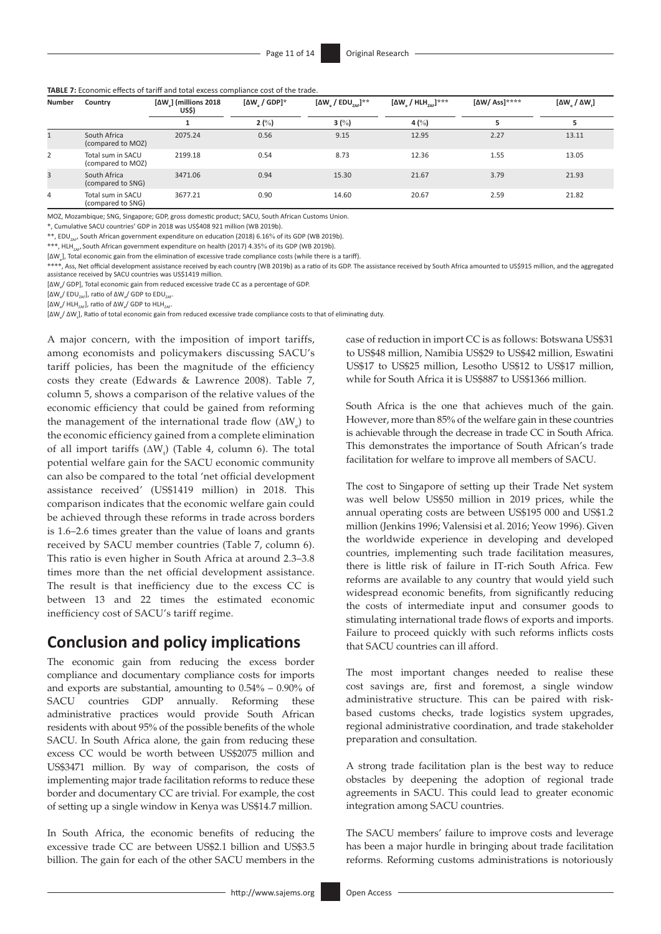#### **TABLE 7:** Economic effects of tariff and total excess compliance cost of the trade.

| Number       | Country                                | [ΔW <sub>a</sub> ] (millions 2018<br>US\$) | $\left[\Delta \mathsf{W}\right]$ / GDP]* | $\left[\Delta W\right]$ / EDU <sub>205</sub> ]** | $[\Delta W_{\alpha} / H L H_{\gamma_{AB}}]^{***}$ | $\left[\Delta W/$ Ass]**** | $\left[\Delta W\right] / \Delta W$ . |
|--------------|----------------------------------------|--------------------------------------------|------------------------------------------|--------------------------------------------------|---------------------------------------------------|----------------------------|--------------------------------------|
|              |                                        |                                            | 2(%)                                     | 3 $(%)$                                          | 4 $(\%)$                                          |                            |                                      |
| $\mathbf{1}$ | South Africa<br>(compared to MOZ)      | 2075.24                                    | 0.56                                     | 9.15                                             | 12.95                                             | 2.27                       | 13.11                                |
| 2            | Total sum in SACU<br>(compared to MOZ) | 2199.18                                    | 0.54                                     | 8.73                                             | 12.36                                             | 1.55                       | 13.05                                |
| 3            | South Africa<br>(compared to SNG)      | 3471.06                                    | 0.94                                     | 15.30                                            | 21.67                                             | 3.79                       | 21.93                                |
| 4            | Total sum in SACU<br>(compared to SNG) | 3677.21                                    | 0.90                                     | 14.60                                            | 20.67                                             | 2.59                       | 21.82                                |

MOZ, Mozambique; SNG, Singapore; GDP, gross domestic product; SACU, South African Customs Union.

\*, Cumulative SACU countries' GDP in 2018 was US\$408 921 million (WB 2019b).

\*\*, EDU<sub>nar</sub>, South African government expenditure on education (2018) 6.16% of its GDP (WB 2019b).

\*\*\*, HLH<sub>7AE/</sub> South African government expenditure on health (2017) 4.35% of its GDP (WB 2019b).

[∆W<sub>e</sub>], Total economic gain from the elimination of excessive trade compliance costs (while there is a tariff).

\*\*\*\*, Ass, Net official development assistance received by each country (WB 2019b) as a ratio of its GDP. The assistance received by South Africa amounted to US\$915 million, and the aggregated assistance received by SACU countries was US\$1419 million.

[∆W<sub>e</sub>/ GDP], Total economic gain from reduced excessive trade CC as a percentage of GDP.

[ΔW<sub>e</sub>/ EDU<sub>zAF</sub>], ratio of ΔW<sub>e</sub>/ GDP to EDU<sub>zAF</sub>

[ΔW<sub>e</sub>/ HLH<sub>zʌF</sub>], ratio of ΔW<sub>e</sub>/ GDP to HLH<sub>zʌF</sub>.

[ΔW<sub>e</sub>/ ΔW<sub>t</sub>], Ratio of total economic gain from reduced excessive trade compliance costs to that of eliminating duty.

A major concern, with the imposition of import tariffs, among economists and policymakers discussing SACU's tariff policies, has been the magnitude of the efficiency costs they create (Edwards & Lawrence 2008). Table 7, column 5, shows a comparison of the relative values of the economic efficiency that could be gained from reforming the management of the international trade flow  $(\Delta W_e)$  to the economic efficiency gained from a complete elimination of all import tariffs  $(\Delta W_{t})$  (Table 4, column 6). The total potential welfare gain for the SACU economic community can also be compared to the total 'net official development assistance received' (US\$1419 million) in 2018. This comparison indicates that the economic welfare gain could be achieved through these reforms in trade across borders is 1.6–2.6 times greater than the value of loans and grants received by SACU member countries (Table 7, column 6). This ratio is even higher in South Africa at around 2.3–3.8 times more than the net official development assistance. The result is that inefficiency due to the excess CC is between 13 and 22 times the estimated economic inefficiency cost of SACU's tariff regime.

### **Conclusion and policy implications**

The economic gain from reducing the excess border compliance and documentary compliance costs for imports and exports are substantial, amounting to 0.54% – 0.90% of SACU countries GDP annually. Reforming these administrative practices would provide South African residents with about 95% of the possible benefits of the whole SACU. In South Africa alone, the gain from reducing these excess CC would be worth between US\$2075 million and US\$3471 million. By way of comparison, the costs of implementing major trade facilitation reforms to reduce these border and documentary CC are trivial. For example, the cost of setting up a single window in Kenya was US\$14.7 million.

In South Africa, the economic benefits of reducing the excessive trade CC are between US\$2.1 billion and US\$3.5 billion. The gain for each of the other SACU members in the case of reduction in import CC is as follows: Botswana US\$31 to US\$48 million, Namibia US\$29 to US\$42 million, Eswatini US\$17 to US\$25 million, Lesotho US\$12 to US\$17 million, while for South Africa it is US\$887 to US\$1366 million.

South Africa is the one that achieves much of the gain. However, more than 85% of the welfare gain in these countries is achievable through the decrease in trade CC in South Africa. This demonstrates the importance of South African's trade facilitation for welfare to improve all members of SACU.

The cost to Singapore of setting up their Trade Net system was well below US\$50 million in 2019 prices, while the annual operating costs are between US\$195 000 and US\$1.2 million (Jenkins 1996; Valensisi et al. 2016; Yeow 1996). Given the worldwide experience in developing and developed countries, implementing such trade facilitation measures, there is little risk of failure in IT-rich South Africa. Few reforms are available to any country that would yield such widespread economic benefits, from significantly reducing the costs of intermediate input and consumer goods to stimulating international trade flows of exports and imports. Failure to proceed quickly with such reforms inflicts costs that SACU countries can ill afford.

The most important changes needed to realise these cost savings are, first and foremost, a single window administrative structure. This can be paired with riskbased customs checks, trade logistics system upgrades, regional administrative coordination, and trade stakeholder preparation and consultation.

A strong trade facilitation plan is the best way to reduce obstacles by deepening the adoption of regional trade agreements in SACU. This could lead to greater economic integration among SACU countries.

The SACU members' failure to improve costs and leverage has been a major hurdle in bringing about trade facilitation reforms. Reforming customs administrations is notoriously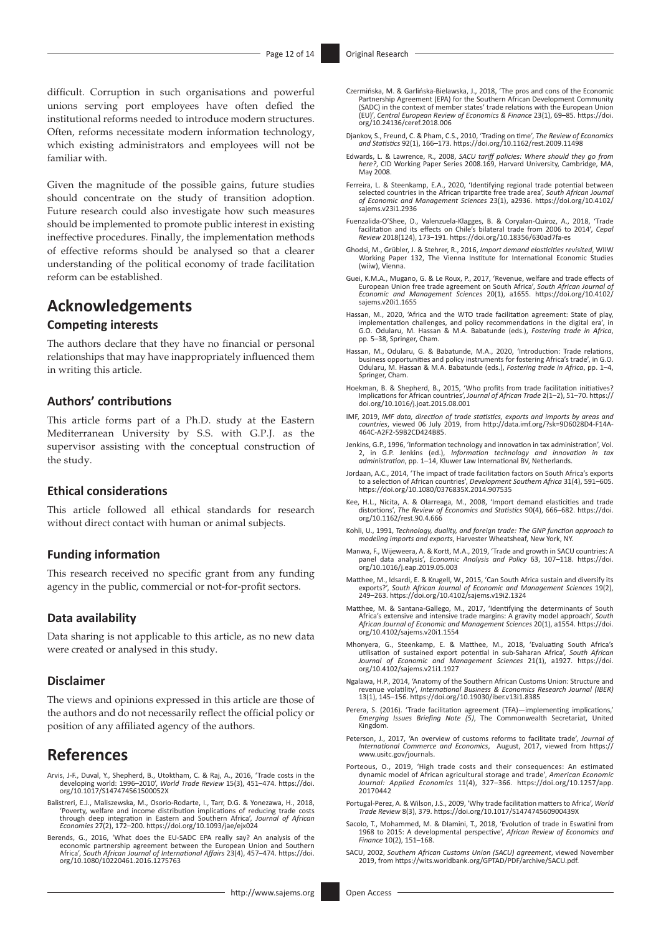difficult. Corruption in such organisations and powerful unions serving port employees have often defied the institutional reforms needed to introduce modern structures. Often, reforms necessitate modern information technology, which existing administrators and employees will not be familiar with.

Given the magnitude of the possible gains, future studies should concentrate on the study of transition adoption. Future research could also investigate how such measures should be implemented to promote public interest in existing ineffective procedures. Finally, the implementation methods of effective reforms should be analysed so that a clearer understanding of the political economy of trade facilitation reform can be established.

### **Acknowledgements**

### **Competing interests**

The authors declare that they have no financial or personal relationships that may have inappropriately influenced them in writing this article.

### **Authors' contributions**

This article forms part of a Ph.D. study at the Eastern Mediterranean University by S.S. with G.P.J. as the supervisor assisting with the conceptual construction of the study.

### **Ethical considerations**

This article followed all ethical standards for research without direct contact with human or animal subjects.

### **Funding information**

This research received no specific grant from any funding agency in the public, commercial or not-for-profit sectors.

### **Data availability**

Data sharing is not applicable to this article, as no new data were created or analysed in this study.

### **Disclaimer**

The views and opinions expressed in this article are those of the authors and do not necessarily reflect the official policy or position of any affiliated agency of the authors.

### **References**

- Arvis, J-F., Duval, Y., Shepherd, B., Utoktham, C. & Raj, A., 2016, 'Trade costs in the developing world: 1996–2010', *World Trade Review* 15(3), 451–474. [https://doi.](https://doi.org/10.1017/S147474561500052X) [org/10.1017/S147474561500052X](https://doi.org/10.1017/S147474561500052X)
- Balistreri, E.J., Maliszewska, M., Osorio-Rodarte, I., Tarr, D.G. & Yonezawa, H., 2018, 'Poverty, welfare and income distribution implications of reducing trade costs through deep integration in Eastern and Southern Africa', *Journal of African Economies* 27(2), 172–200. <https://doi.org/10.1093/jae/ejx024>
- Berends, G., 2016, 'What does the EU-SADC EPA really say? An analysis of the economic partnership agreement between the European Union and Southern Africa', *South African Journal of International Affairs* 23(4), 457–474. [https://doi.](https://doi.org/10.1080/10220461.2016.1275763) [org/10.1080/10220461.2016.1275763](https://doi.org/10.1080/10220461.2016.1275763)
- Czermińska, M. & Garlińska-Bielawska, J., 2018, 'The pros and cons of the Economic Partnership Agreement (EPA) for the Southern African Development Community (SADC) in the context of member states' trade relations with the European Union (EU)', *Central European Review of Economics & Finance* 23(1), 69–85. [https://doi.](https://doi.org/10.24136/ceref.2018.006) [org/10.24136/ceref.2018.006](https://doi.org/10.24136/ceref.2018.006)
- Djankov, S., Freund, C. & Pham, C.S., 2010, 'Trading on time', *The Review of Economics and Statistics* 92(1), 166–173. <https://doi.org/10.1162/rest.2009.11498>
- Edwards, L. & Lawrence, R., 2008, *SACU tariff policies: Where should they go from here?*, CID Working Paper Series 2008.169, Harvard University, Cambridge, MA, May 2008.
- Ferreira, L. & Steenkamp, E.A., 2020, 'Identifying regional trade potential between selected countries in the African tripartite free trade area', *South African Journal of Economic and Management Sciences* 23(1), a2936. [https://doi.org/10.4102/](https://doi.org/10.4102/sajems.v23i1.2936) [sajems.v23i1.2936](https://doi.org/10.4102/sajems.v23i1.2936)
- Fuenzalida-O'Shee, D., Valenzuela-Klagges, B. & Coryalan-Quiroz, A., 2018, 'Trade facilitation and its effects on Chile's bilateral trade from 2006 to 2014', *Cepal Review* 2018(124), 173–191.<https://doi.org/10.18356/630ad7fa-es>
- Ghodsi, M., Grübler, J. & Stehrer, R., 2016, *Import demand elasticities revisited*, WIIW Working Paper 132, The Vienna Institute for International Economic Studies (wiiw), Vienna.
- Guei, K.M.A., Mugano, G. & Le Roux, P., 2017, 'Revenue, welfare and trade effects of European Union free trade agreement on South Africa', *South African Journal of Economic and Management Sciences* 20(1), a1655. [https://doi.org/10.4102/](https://doi.org/10.4102/sajems.v20i1.1655) [sajems.v20i1.1655](https://doi.org/10.4102/sajems.v20i1.1655)
- Hassan, M., 2020, 'Africa and the WTO trade facilitation agreement: State of play, implementation challenges, and policy recommendations in the digital era', in G.O. Odularu, M. Hassan & M.A. Babatunde (eds.), *Fostering trade in Africa*, pp. 5–38, Springer, Cham.
- Hassan, M., Odularu, G. & Babatunde, M.A., 2020, 'Introduction: Trade relations, business opportunities and policy instruments for fostering Africa's trade', in G.O. Odularu, M. Hassan & M.A. Babatunde (eds.), *Fostering trade in Africa*, pp. 1–4, Springer, Cham.
- Hoekman, B. & Shepherd, B., 2015, 'Who profits from trade facilitation initiatives? Implications for African countries', *Journal of African Trade* 2(1–2), 51–70. [https://](https://doi.org/10.1016/j.joat.2015.08.001) [doi.org/10.1016/j.joat.2015.08.001](https://doi.org/10.1016/j.joat.2015.08.001)
- IMF, 2019, *IMF data, direction of trade statistics, exports and imports by areas and countries*, viewed 06 July 2019, from [http://data.imf.org/?sk=9D6028D4-F14A-](http://data.imf.org/?sk=9D6028D4-F14A-464C-A2F2-59B2CD424B85)[464C-A2F2-59B2CD424B85](http://data.imf.org/?sk=9D6028D4-F14A-464C-A2F2-59B2CD424B85).
- Jenkins, G.P., 1996, 'Information technology and innovation in tax administration', Vol. 2, in G.P. Jenkins (ed.), *Information technology and innovation in tax administration*, pp. 1–14, Kluwer Law International BV, Netherlands.
- Jordaan, A.C., 2014, 'The impact of trade facilitation factors on South Africa's exports to a selection of African countries', *Development Southern Africa* 31(4), 591–605. <https://doi.org/10.1080/0376835X.2014.907535>
- Kee, H.L., Nicita, A. & Olarreaga, M., 2008, 'Import demand elasticities and trade distortions', *The Review of Economics and Statistics* 90(4), 666–682. [https://doi.](https://doi.org/10.1162/rest.90.4.666) [org/10.1162/rest.90.4.666](https://doi.org/10.1162/rest.90.4.666)
- Kohli, U., 1991, *Technology, duality, and foreign trade: The GNP function approach to modeling imports and exports*, Harvester Wheatsheaf, New York, NY.
- Manwa, F., Wijeweera, A. & Kortt, M.A., 2019, 'Trade and growth in SACU countries: A panel data analysis', *Economic Analysis and Policy* 63, 107–118. [https://doi.](https://doi.org/10.1016/j.eap.2019.05.003) [org/10.1016/j.eap.2019.05.003](https://doi.org/10.1016/j.eap.2019.05.003)
- Matthee, M., Idsardi, E. & Krugell, W., 2015, 'Can South Africa sustain and diversify its exports?', *South African Journal of Economic and Management Sciences* 19(2), 249–263.<https://doi.org/10.4102/sajems.v19i2.1324>
- Matthee, M. & Santana-Gallego, M., 2017, 'Identifying the determinants of South Africa's extensive and intensive trade margins: A gravity model approach', *South African Journal of Economic and Management Sciences* 20(1), a1554. [https://doi.](https://doi.org/10.4102/sajems.v20i1.1554) [org/10.4102/sajems.v20i1.1554](https://doi.org/10.4102/sajems.v20i1.1554)
- Mhonyera, G., Steenkamp, E. & Matthee, M., 2018, 'Evaluating South Africa's utilisation of sustained export potential in sub-Saharan Africa', *South African Journal of Economic and Management Sciences* 21(1), a1927. [https://doi.](https://doi.org/10.4102/sajems.v21i1.1927) [org/10.4102/sajems.v21i1.1927](https://doi.org/10.4102/sajems.v21i1.1927)
- Ngalawa, H.P., 2014, 'Anatomy of the Southern African Customs Union: Structure and revenue volatility', *International Business & Economics Research Journal (IBER)* 13(1), 145–156.<https://doi.org/10.19030/iber.v13i1.8385>
- Perera, S. (2016). 'Trade facilitation agreement (TFA)—implementing implications,' *Emerging Issues Briefing Note (5)*, The Commonwealth Secretariat, United Kingdom.
- Peterson, J., 2017, 'An overview of customs reforms to facilitate trade', *Journal of International Commerce and Economics*, August, 2017, viewed from [https://](https://www.usitc.gov/journals) [www.usitc.gov/journals](https://www.usitc.gov/journals).
- Porteous, O., 2019, 'High trade costs and their consequences: An estimated dynamic model of African agricultural storage and trade', *American Economic Journal: Applied Economics* 11(4), 327–366. [https://doi.org/10.1257/app.](https://doi.org/10.1257/app.20170442) [20170442](https://doi.org/10.1257/app.20170442)
- Portugal-Perez, A. & Wilson, J.S., 2009, 'Why trade facilitation matters to Africa', *World Trade Review* 8(3), 379.<https://doi.org/10.1017/S147474560900439X>
- Sacolo, T., Mohammed, M. & Dlamini, T., 2018, 'Evolution of trade in Eswatini from 1968 to 2015: A developmental perspective', *African Review of Economics and Finance* 10(2), 151–168.
- SACU, 2002, *Southern African Customs Union (SACU) agreement*, viewed November 2019, from [https://wits.worldbank.org/GPTAD/PDF/archive/SACU.pdf.](https://wits.worldbank.org/GPTAD/PDF/archive/SACU.pdf)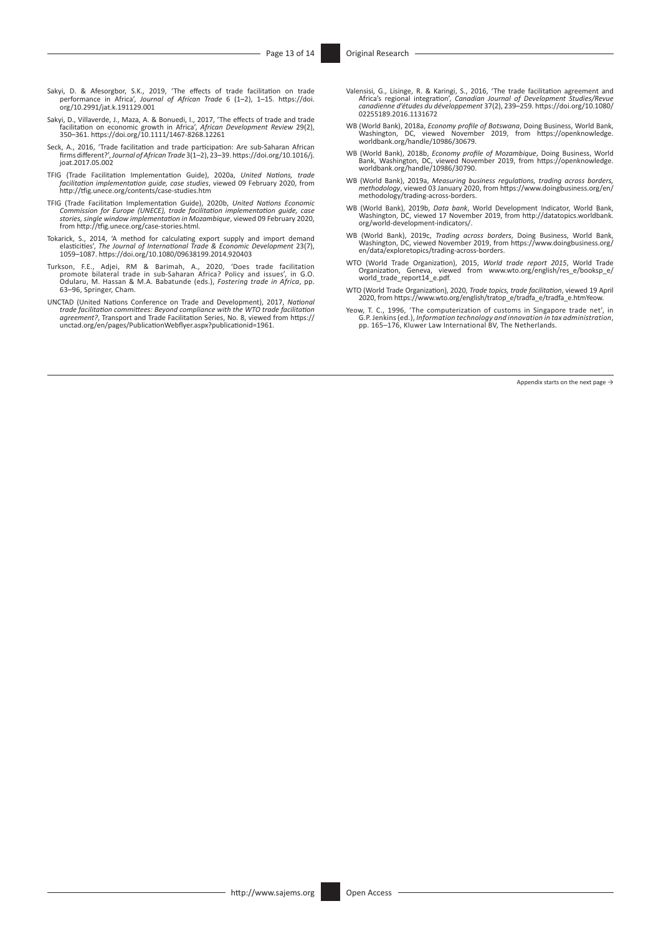- Sakyi, D. & Afesorgbor, S.K., 2019, 'The effects of trade facilitation on trade performance in Africa', *Journal of African Trade* 6 (1–2), 1–15. [https://doi.](https://doi.org/10.2991/jat.k.191129.001) [org/10.2991/jat.k.191129.001](https://doi.org/10.2991/jat.k.191129.001)
- Sakyi, D., Villaverde, J., Maza, A. & Bonuedi, I., 2017, 'The effects of trade and trade facilitation on economic growth in Africa', *African Development Review* 29(2), 350–361. <https://doi.org/10.1111/1467-8268.12261>
- Seck, A., 2016, 'Trade facilitation and trade participation: Are sub-Saharan African firms different?', *Journal of African Trade* 3(1–2), 23–39. [https://doi.org/10.1016/j.](https://doi.org/10.1016/j.joat.2017.05.002) [joat.2017.05.002](https://doi.org/10.1016/j.joat.2017.05.002)
- TFIG (Trade Facilitation Implementation Guide), 2020a, *United Nations, trade facilitation implementation guide, case studies*, viewed 09 February 2020, from <http://tfig.unece.org/contents/case-studies.htm>
- TFIG (Trade Facilitation Implementation Guide), 2020b, *United Nations Economic Commission for Europe (UNECE), trade facilitation implementation guide, case stories, single window implementation in Mozambique*, viewed 09 February 2020, from [http://tfig.unece.org/case-stories.html.](http://tfig.unece.org/case-stories.html)
- Tokarick, S., 2014, 'A method for calculating export supply and import demand elasticities', *The Journal of International Trade & Economic Development* 23(7), 1059–1087.<https://doi.org/10.1080/09638199.2014.920403>
- Turkson, F.E., Adjei, RM & Barimah, A., 2020, 'Does trade facilitation<br>pomote bilateral trade in sub-Saharan Africa? Policy and issues', in G.O.<br>Odularu, M. Hassan & M.A. Babatunde (eds.), *Fostering trade in Africa*, pp. 63–96, Springer, Cham.
- UNCTAD (United Nations Conference on Trade and Development), 2017, *National trade facilitation committees: Beyond compliance with the WTO trade facilitation agreement?*, Transport and Trade Facilitation Series, No. 8, viewed from [https://](https://unctad.org/en/pages/PublicationWebflyer.aspx?publicationid=1961) [unctad.org/en/pages/PublicationWebflyer.aspx?publicationid=1961.](https://unctad.org/en/pages/PublicationWebflyer.aspx?publicationid=1961)
- Valensisi, G., Lisinge, R. & Karingi, S., 2016, 'The trade facilitation agreement and<br>Africa's regional integration', Canadian Journal of Development Studies/Revue<br>canadienne d'études du développement 37(2), 239–259. https [02255189.2016.1131672](https://doi.org/10.1080/02255189.2016.1131672)
- WB (World Bank), 2018a, *Economy profile of Botswana*, Doing Business, World Bank, Washington, DC, viewed November 2019, from [https://openknowledge.](https://openknowledge.worldbank.org/handle/10986/30679) [worldbank.org/handle/10986/30679.](https://openknowledge.worldbank.org/handle/10986/30679)
- WB (World Bank), 2018b, *Economy profile of Mozambique*, Doing Business, World<br>Bank, Washington, DC, viewed November 2019, from [https://openknowledge.](https://openknowledge.worldbank.org/handle/10986/30790)<br>[worldbank.org/handle/10986/30790.](https://openknowledge.worldbank.org/handle/10986/30790)
- WB (World Bank), 2019a, *Measuring business regulations, trading across borders, methodology*, viewed 03 January 2020, from [https://www.doingbusiness.org/en/](https://www.doingbusiness.org/en/methodology/trading-across-borders) [methodology/trading-across-borders](https://www.doingbusiness.org/en/methodology/trading-across-borders).
- WB (World Bank), 2019b, *Data bank*, World Development Indicator, World Bank, Washington, DC, viewed 17 November 2019, from [http://datatopics.worldbank.](http://datatopics.worldbank.org/world-development-indicators/) [org/world-development-indicators/](http://datatopics.worldbank.org/world-development-indicators/).
- WB (World Bank), 2019c, *Trading across borders*, Doing Business, World Bank, Washington, DC, viewed November 2019, from [https://www.doingbusiness.org/](https://www.doingbusiness.org/en/data/exploretopics/trading-across-borders) [en/data/exploretopics/trading-across-borders](https://www.doingbusiness.org/en/data/exploretopics/trading-across-borders).
- WTO (World Trade Organization), 2015, *World trade report 2015*, World Trade Organization, Geneva, viewed from [www.wto.org/english/res\\_e/booksp\\_e/](http://www.wto.org/english/res_e/booksp_e/world_trade_report14_e.pdf) [world\\_trade\\_report14\\_e.pdf](http://www.wto.org/english/res_e/booksp_e/world_trade_report14_e.pdf).
- WTO (World Trade Organization), 2020, *Trade topics, trade facilitation*, viewed 19 April 2020, from [https://www.wto.org/english/tratop\\_e/tradfa\\_e/tradfa\\_e.htmYeow](https://www.wto.org/english/tratop_e/tradfa_e/tradfa_e.htmYeow).
- Yeow, T. C., 1996, 'The computerization of customs in Singapore trade net', in<br>G.P. Jenkins (ed.), Information technology and innovation in tax administration,<br>pp. 165–176, Kluwer Law International BV, The Netherlands.

Appendix starts on the next page →